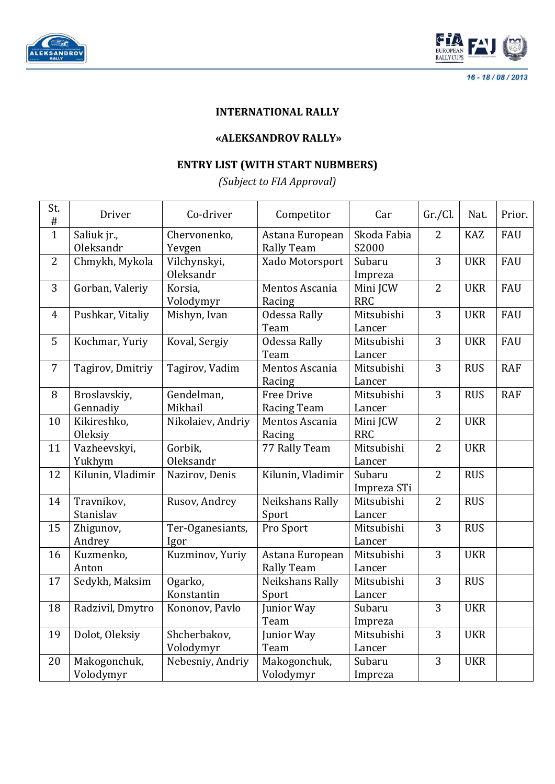



16 - 18 / 08 / 2013

## **INTERNATIONAL RALLY**

## **«ALEKSANDROV RALLY»**

## **ENTRY LIST (WITH START NUBMBERS)**

*(Subject to FIA Approval)*

| St.<br>$\#$    | Driver                          | Co-driver                 | Competitor                              | Car                    | Gr./Cl.        | Nat.       | Prior.     |
|----------------|---------------------------------|---------------------------|-----------------------------------------|------------------------|----------------|------------|------------|
| $\overline{1}$ | Saliuk jr.,<br><b>Oleksandr</b> | Chervonenko,<br>Yevgen    | Astana European<br><b>Rally Team</b>    | Skoda Fabia<br>S2000   | $\overline{2}$ | <b>KAZ</b> | FAU        |
| $\overline{2}$ | Chmykh, Mykola                  | Vilchynskyi,<br>Oleksandr | Xado Motorsport                         | Subaru<br>Impreza      | 3              | <b>UKR</b> | <b>FAU</b> |
| 3              | Gorban, Valeriy                 | Korsia,<br>Volodymyr      | Mentos Ascania<br>Racing                | Mini JCW<br><b>RRC</b> | $\overline{2}$ | <b>UKR</b> | FAU        |
| $\overline{4}$ | Pushkar, Vitaliy                | Mishyn, Ivan              | Odessa Rally<br>Team                    | Mitsubishi<br>Lancer   | 3              | <b>UKR</b> | FAU        |
| 5              | Kochmar, Yuriy                  | Koval, Sergiy             | <b>Odessa Rally</b><br>Team             | Mitsubishi<br>Lancer   | 3              | <b>UKR</b> | FAU        |
| $\overline{7}$ | Tagirov, Dmitriy                | Tagirov, Vadim            | Mentos Ascania<br>Racing                | Mitsubishi<br>Lancer   | 3              | <b>RUS</b> | <b>RAF</b> |
| 8              | Broslavskiy,<br>Gennadiy        | Gendelman,<br>Mikhail     | <b>Free Drive</b><br><b>Racing Team</b> | Mitsubishi<br>Lancer   | 3              | <b>RUS</b> | <b>RAF</b> |
| 10             | Kikireshko,<br>Oleksiy          | Nikolaiev, Andriy         | Mentos Ascania<br>Racing                | Mini JCW<br><b>RRC</b> | $\overline{2}$ | <b>UKR</b> |            |
| 11             | Vazheevskyi,<br>Yukhym          | Gorbik,<br>Oleksandr      | 77 Rally Team                           | Mitsubishi<br>Lancer   | $\overline{2}$ | <b>UKR</b> |            |
| 12             | Kilunin, Vladimir               | Nazirov, Denis            | Kilunin, Vladimir                       | Subaru<br>Impreza STi  | $\overline{2}$ | <b>RUS</b> |            |
| 14             | Travnikov,<br>Stanislav         | Rusov, Andrey             | Neikshans Rally<br>Sport                | Mitsubishi<br>Lancer   | $\overline{2}$ | <b>RUS</b> |            |
| 15             | Zhigunov,<br>Andrey             | Ter-Oganesiants,<br>Igor  | Pro Sport                               | Mitsubishi<br>Lancer   | 3              | <b>RUS</b> |            |
| 16             | Kuzmenko,<br>Anton              | Kuzminov, Yuriy           | Astana European<br><b>Rally Team</b>    | Mitsubishi<br>Lancer   | 3              | <b>UKR</b> |            |
| 17             | Sedykh, Maksim                  | Ogarko,<br>Konstantin     | Neikshans Rally<br>Sport                | Mitsubishi<br>Lancer   | 3              | <b>RUS</b> |            |
| 18             | Radzivil, Dmytro                | Kononov, Pavlo            | Junior Way<br>Team                      | Subaru<br>Impreza      | 3              | <b>UKR</b> |            |
| 19             | Dolot, Oleksiy                  | Shcherbakov,<br>Volodymyr | Junior Way<br>Team                      | Mitsubishi<br>Lancer   | 3              | <b>UKR</b> |            |
| 20             | Makogonchuk,<br>Volodymyr       | Nebesniy, Andriy          | Makogonchuk,<br>Volodymyr               | Subaru<br>Impreza      | 3              | <b>UKR</b> |            |